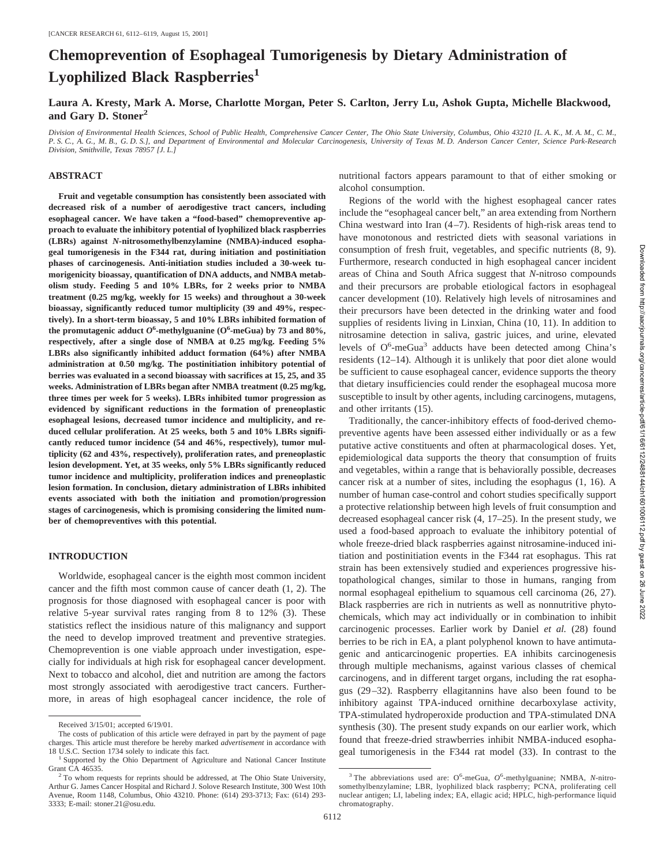# **Chemoprevention of Esophageal Tumorigenesis by Dietary Administration of Lyophilized Black Raspberries<sup>1</sup>**

**Laura A. Kresty, Mark A. Morse, Charlotte Morgan, Peter S. Carlton, Jerry Lu, Ashok Gupta, Michelle Blackwood, and Gary D. Stoner2**

*Division of Environmental Health Sciences, School of Public Health, Comprehensive Cancer Center, The Ohio State University, Columbus, Ohio 43210 [L. A. K., M. A. M., C. M., P. S. C., A. G., M. B., G. D. S.], and Department of Environmental and Molecular Carcinogenesis, University of Texas M. D. Anderson Cancer Center, Science Park-Research Division, Smithville, Texas 78957 [J. L.]*

## **ABSTRACT**

**Fruit and vegetable consumption has consistently been associated with decreased risk of a number of aerodigestive tract cancers, including esophageal cancer. We have taken a "food-based" chemopreventive approach to evaluate the inhibitory potential of lyophilized black raspberries (LBRs) against** *N-***nitrosomethylbenzylamine (NMBA)-induced esophageal tumorigenesis in the F344 rat, during initiation and postinitiation phases of carcinogenesis. Anti-initiation studies included a 30-week tumorigenicity bioassay, quantification of DNA adducts, and NMBA metabolism study. Feeding 5 and 10% LBRs, for 2 weeks prior to NMBA treatment (0.25 mg/kg, weekly for 15 weeks) and throughout a 30-week bioassay, significantly reduced tumor multiplicity (39 and 49%, respectively). In a short-term bioassay, 5 and 10% LBRs inhibited formation of** the promutagenic adduct  $O^6$ -methylguanine ( $O^6$ -meGua) by 73 and 80%, **respectively, after a single dose of NMBA at 0.25 mg/kg. Feeding 5% LBRs also significantly inhibited adduct formation (64%) after NMBA administration at 0.50 mg/kg. The postinitiation inhibitory potential of berries was evaluated in a second bioassay with sacrifices at 15, 25, and 35 weeks. Administration of LBRs began after NMBA treatment (0.25 mg/kg, three times per week for 5 weeks). LBRs inhibited tumor progression as evidenced by significant reductions in the formation of preneoplastic esophageal lesions, decreased tumor incidence and multiplicity, and reduced cellular proliferation. At 25 weeks, both 5 and 10% LBRs significantly reduced tumor incidence (54 and 46%, respectively), tumor multiplicity (62 and 43%, respectively), proliferation rates, and preneoplastic lesion development. Yet, at 35 weeks, only 5% LBRs significantly reduced tumor incidence and multiplicity, proliferation indices and preneoplastic lesion formation. In conclusion, dietary administration of LBRs inhibited events associated with both the initiation and promotion/progression stages of carcinogenesis, which is promising considering the limited number of chemopreventives with this potential.**

#### **INTRODUCTION**

Worldwide, esophageal cancer is the eighth most common incident cancer and the fifth most common cause of cancer death (1, 2). The prognosis for those diagnosed with esophageal cancer is poor with relative 5-year survival rates ranging from 8 to 12% (3). These statistics reflect the insidious nature of this malignancy and support the need to develop improved treatment and preventive strategies. Chemoprevention is one viable approach under investigation, especially for individuals at high risk for esophageal cancer development. Next to tobacco and alcohol, diet and nutrition are among the factors most strongly associated with aerodigestive tract cancers. Furthermore, in areas of high esophageal cancer incidence, the role of nutritional factors appears paramount to that of either smoking or alcohol consumption.

Regions of the world with the highest esophageal cancer rates include the "esophageal cancer belt," an area extending from Northern China westward into Iran  $(4-7)$ . Residents of high-risk areas tend to have monotonous and restricted diets with seasonal variations in consumption of fresh fruit, vegetables, and specific nutrients (8, 9). Furthermore, research conducted in high esophageal cancer incident areas of China and South Africa suggest that *N*-nitroso compounds and their precursors are probable etiological factors in esophageal cancer development (10). Relatively high levels of nitrosamines and their precursors have been detected in the drinking water and food supplies of residents living in Linxian, China (10, 11). In addition to nitrosamine detection in saliva, gastric juices, and urine, elevated levels of O<sup>6</sup>-meGua<sup>3</sup> adducts have been detected among China's residents (12–14). Although it is unlikely that poor diet alone would be sufficient to cause esophageal cancer, evidence supports the theory that dietary insufficiencies could render the esophageal mucosa more susceptible to insult by other agents, including carcinogens, mutagens, and other irritants (15).

Traditionally, the cancer-inhibitory effects of food-derived chemopreventive agents have been assessed either individually or as a few putative active constituents and often at pharmacological doses. Yet, epidemiological data supports the theory that consumption of fruits and vegetables, within a range that is behaviorally possible, decreases cancer risk at a number of sites, including the esophagus (1, 16). A number of human case-control and cohort studies specifically support a protective relationship between high levels of fruit consumption and decreased esophageal cancer risk (4, 17–25). In the present study, we used a food-based approach to evaluate the inhibitory potential of whole freeze-dried black raspberries against nitrosamine-induced initiation and postinitiation events in the F344 rat esophagus. This rat strain has been extensively studied and experiences progressive histopathological changes, similar to those in humans, ranging from normal esophageal epithelium to squamous cell carcinoma (26, 27). Black raspberries are rich in nutrients as well as nonnutritive phytochemicals, which may act individually or in combination to inhibit carcinogenic processes. Earlier work by Daniel *et al.* (28) found berries to be rich in EA, a plant polyphenol known to have antimutagenic and anticarcinogenic properties. EA inhibits carcinogenesis through multiple mechanisms, against various classes of chemical carcinogens, and in different target organs, including the rat esophagus (29–32). Raspberry ellagitannins have also been found to be inhibitory against TPA-induced ornithine decarboxylase activity, TPA-stimulated hydroperoxide production and TPA-stimulated DNA synthesis (30). The present study expands on our earlier work, which found that freeze-dried strawberries inhibit NMBA-induced esophageal tumorigenesis in the F344 rat model (33). In contrast to the

Received 3/15/01; accepted 6/19/01.

The costs of publication of this article were defrayed in part by the payment of page charges. This article must therefore be hereby marked *advertisement* in accordance with

<sup>18</sup> U.S.C. Section 1734 solely to indicate this fact.<br><sup>1</sup> Supported by the Ohio Department of Agriculture and National Cancer Institute

Grant CA 46535.<br><sup>2</sup> To whom requests for reprints should be addressed, at The Ohio State University, Arthur G. James Cancer Hospital and Richard J. Solove Research Institute, 300 West 10th Avenue, Room 1148, Columbus, Ohio 43210. Phone: (614) 293-3713; Fax: (614) 293- 3333; E-mail: stoner.21@osu.edu.

 $3$  The abbreviations used are: O<sup>6</sup>-meGua, O<sup>6</sup>-methylguanine; NMBA, N-nitrosomethylbenzylamine; LBR, lyophilized black raspberry; PCNA, proliferating cell nuclear antigen; LI, labeling index; EA, ellagic acid; HPLC, high-performance liquid chromatography.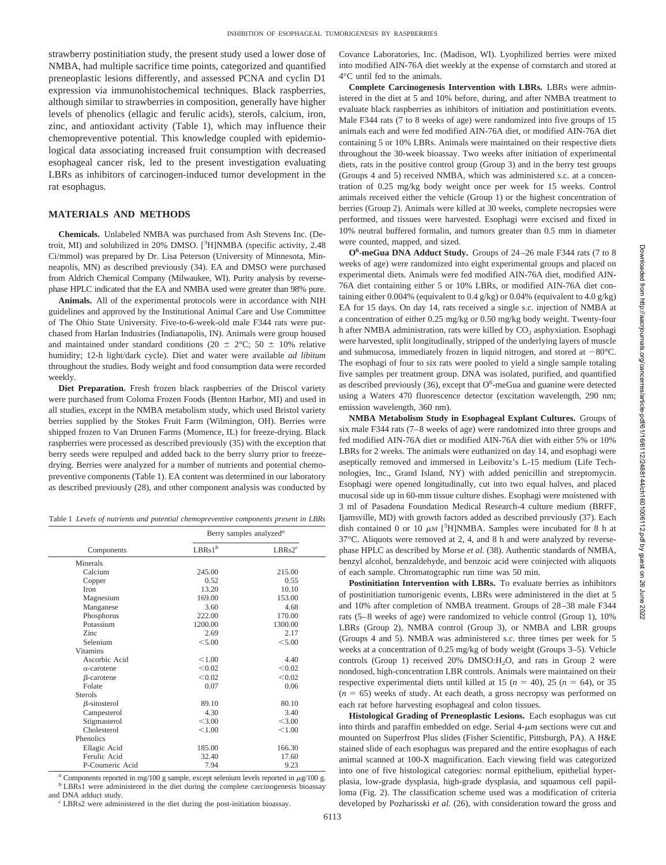strawberry postinitiation study, the present study used a lower dose of NMBA, had multiple sacrifice time points, categorized and quantified preneoplastic lesions differently, and assessed PCNA and cyclin D1 expression via immunohistochemical techniques. Black raspberries, although similar to strawberries in composition, generally have higher levels of phenolics (ellagic and ferulic acids), sterols, calcium, iron, zinc, and antioxidant activity (Table 1), which may influence their chemopreventive potential. This knowledge coupled with epidemiological data associating increased fruit consumption with decreased esophageal cancer risk, led to the present investigation evaluating LBRs as inhibitors of carcinogen-induced tumor development in the rat esophagus.

# **MATERIALS AND METHODS**

**Chemicals.** Unlabeled NMBA was purchased from Ash Stevens Inc. (Detroit, MI) and solubilized in 20% DMSO. [<sup>3</sup>H]NMBA (specific activity, 2.48 Ci/mmol) was prepared by Dr. Lisa Peterson (University of Minnesota, Minneapolis, MN) as described previously (34). EA and DMSO were purchased from Aldrich Chemical Company (Milwaukee, WI). Purity analysis by reversephase HPLC indicated that the EA and NMBA used were greater than 98% pure.

**Animals.** All of the experimental protocols were in accordance with NIH guidelines and approved by the Institutional Animal Care and Use Committee of The Ohio State University. Five-to-6-week-old male F344 rats were purchased from Harlan Industries (Indianapolis, IN). Animals were group housed and maintained under standard conditions (20  $\pm$  2°C; 50  $\pm$  10% relative humidity; 12-h light/dark cycle). Diet and water were available *ad libitum* throughout the studies. Body weight and food consumption data were recorded weekly.

**Diet Preparation.** Fresh frozen black raspberries of the Driscol variety were purchased from Coloma Frozen Foods (Benton Harbor, MI) and used in all studies, except in the NMBA metabolism study, which used Bristol variety berries supplied by the Stokes Fruit Farm (Wilmington, OH). Berries were shipped frozen to Van Drunen Farms (Momence, IL) for freeze-drying. Black raspberries were processed as described previously (35) with the exception that berry seeds were repulped and added back to the berry slurry prior to freezedrying. Berries were analyzed for a number of nutrients and potential chemopreventive components (Table 1). EA content was determined in our laboratory as described previously (28), and other component analysis was conducted by

Table 1 *Levels of nutrients and potential chemopreventive components present in LBRs*

|                     | Berry samples analyzed <sup>a</sup> |                    |  |
|---------------------|-------------------------------------|--------------------|--|
| Components          | $LBRs1^b$                           | LBRs2 <sup>c</sup> |  |
| Minerals            |                                     |                    |  |
| Calcium             | 245.00                              | 215.00             |  |
| Copper              | 0.52                                | 0.55               |  |
| <b>Iron</b>         | 13.20                               | 10.10              |  |
| Magnesium           | 169.00                              | 153.00             |  |
| Manganese           | 3.60                                | 4.68               |  |
| Phosphorus          | 222.00                              | 170.00             |  |
| Potassium           | 1200.00                             | 1300.00            |  |
| Zinc                | 2.69                                | 2.17               |  |
| Selenium            | < 5.00                              | < 5.00             |  |
| <b>Vitamins</b>     |                                     |                    |  |
| Ascorbic Acid       | < 1.00                              | 4.40               |  |
| $\alpha$ -carotene  | < 0.02                              | < 0.02             |  |
| $\beta$ -carotene   | < 0.02                              | < 0.02             |  |
| Folate              | 0.07                                | 0.06               |  |
| <b>Sterols</b>      |                                     |                    |  |
| $\beta$ -sitosterol | 89.10                               | 80.10              |  |
| Campesterol         | 4.30                                | 3.40               |  |
| Stigmasterol        | < 3.00                              | < 3.00             |  |
| Cholesterol         | < 1.00                              | < 1.00             |  |
| Phenolics           |                                     |                    |  |
| Ellagic Acid        | 185.00                              | 166.30             |  |
| Ferulic Acid        | 32.40                               | 17.60              |  |
| P-Coumeric Acid     | 7.94                                | 9.23               |  |

<sup>*a*</sup> Components reported in mg/100 g sample, except selenium levels reported in  $\mu$ g/100 g. *b* LBRs1 were administered in the diet during the complete carcinogenesis bioassay and DNA adduct study.

6113

 $c^c$  LBRs2 were administered in the diet during the post-initiation bioassay.

Covance Laboratories, Inc. (Madison, WI). Lyophilized berries were mixed into modified AIN-76A diet weekly at the expense of cornstarch and stored at 4°C until fed to the animals.

**Complete Carcinogenesis Intervention with LBRs.** LBRs were administered in the diet at 5 and 10% before, during, and after NMBA treatment to evaluate black raspberries as inhibitors of initiation and postinitiation events. Male F344 rats (7 to 8 weeks of age) were randomized into five groups of 15 animals each and were fed modified AIN-76A diet, or modified AIN-76A diet containing 5 or 10% LBRs. Animals were maintained on their respective diets throughout the 30-week bioassay. Two weeks after initiation of experimental diets, rats in the positive control group (Group 3) and in the berry test groups (Groups 4 and 5) received NMBA, which was administered s.c. at a concentration of 0.25 mg/kg body weight once per week for 15 weeks. Control animals received either the vehicle (Group 1) or the highest concentration of berries (Group 2). Animals were killed at 30 weeks, complete necropsies were performed, and tissues were harvested. Esophagi were excised and fixed in 10% neutral buffered formalin, and tumors greater than 0.5 mm in diameter were counted, mapped, and sized.

**O6 -meGua DNA Adduct Study.** Groups of 24–26 male F344 rats (7 to 8 weeks of age) were randomized into eight experimental groups and placed on experimental diets. Animals were fed modified AIN-76A diet, modified AIN-76A diet containing either 5 or 10% LBRs, or modified AIN-76A diet containing either 0.004% (equivalent to 0.4 g/kg) or 0.04% (equivalent to 4.0 g/kg) EA for 15 days. On day 14, rats received a single s.c. injection of NMBA at a concentration of either 0.25 mg/kg or 0.50 mg/kg body weight. Twenty-four h after NMBA administration, rats were killed by  $CO<sub>2</sub>$  asphyxiation. Esophagi were harvested, split longitudinally, stripped of the underlying layers of muscle and submucosa, immediately frozen in liquid nitrogen, and stored at  $-80^{\circ}$ C. The esophagi of four to six rats were pooled to yield a single sample totaling five samples per treatment group. DNA was isolated, purified, and quantified as described previously (36), except that  $O^6$ -meGua and guanine were detected using a Waters 470 fluorescence detector (excitation wavelength, 290 nm; emission wavelength, 360 nm).

**NMBA Metabolism Study in Esophageal Explant Cultures.** Groups of six male F344 rats (7–8 weeks of age) were randomized into three groups and fed modified AIN-76A diet or modified AIN-76A diet with either 5% or 10% LBRs for 2 weeks. The animals were euthanized on day 14, and esophagi were aseptically removed and immersed in Leibovitz's L-15 medium (Life Technologies, Inc., Grand Island, NY) with added penicillin and streptomycin. Esophagi were opened longitudinally, cut into two equal halves, and placed mucosal side up in 60-mm tissue culture dishes. Esophagi were moistened with 3 ml of Pasadena Foundation Medical Research-4 culture medium (BRFF, Ijamsville, MD) with growth factors added as described previously (37). Each dish contained 0 or 10  $\mu$ M [<sup>3</sup>H]NMBA. Samples were incubated for 8 h at 37°C. Aliquots were removed at 2, 4, and 8 h and were analyzed by reversephase HPLC as described by Morse *et al.* (38). Authentic standards of NMBA, benzyl alcohol, benzaldehyde, and benzoic acid were coinjected with aliquots of each sample. Chromatographic run time was 50 min.

**Postinitiation Intervention with LBRs.** To evaluate berries as inhibitors of postinitiation tumorigenic events, LBRs were administered in the diet at 5 and 10% after completion of NMBA treatment. Groups of 28–38 male F344 rats (5–8 weeks of age) were randomized to vehicle control (Group 1), 10% LBRs (Group 2), NMBA control (Group 3), or NMBA and LBR groups (Groups 4 and 5). NMBA was administered s.c. three times per week for 5 weeks at a concentration of 0.25 mg/kg of body weight (Groups 3–5). Vehicle controls (Group 1) received 20% DMSO:H<sub>2</sub>O, and rats in Group 2 were nondosed, high-concentration LBR controls. Animals were maintained on their respective experimental diets until killed at 15 ( $n = 40$ ), 25 ( $n = 64$ ), or 35  $(n = 65)$  weeks of study. At each death, a gross necropsy was performed on each rat before harvesting esophageal and colon tissues.

**Histological Grading of Preneoplastic Lesions.** Each esophagus was cut into thirds and paraffin embedded on edge. Serial  $4-\mu m$  sections were cut and mounted on Superfrost Plus slides (Fisher Scientific, Pittsburgh, PA). A H&E stained slide of each esophagus was prepared and the entire esophagus of each animal scanned at 100-X magnification. Each viewing field was categorized into one of five histological categories: normal epithelium, epithelial hyperplasia, low-grade dysplasia, high-grade dysplasia, and squamous cell papilloma (Fig. 2). The classification scheme used was a modification of criteria developed by Pozharisski *et al.* (26), with consideration toward the gross and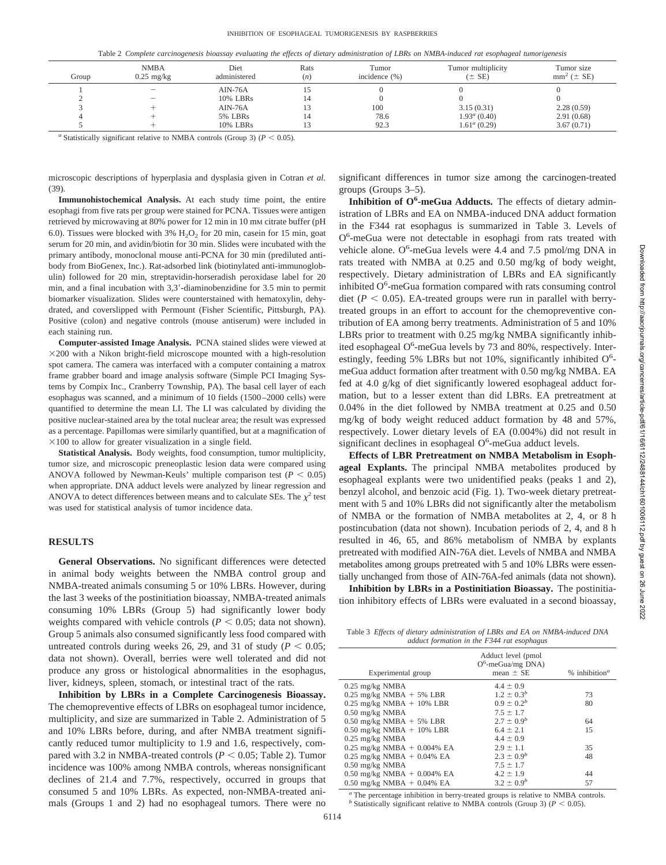Table 2 *Complete carcinogenesis bioassay evaluating the effects of dietary administration of LBRs on NMBA-induced rat esophageal tumorigenesis*

| Group | <b>NMBA</b><br>$0.25$ mg/kg | Diet<br>administered | Rats<br>(n) | Tumor<br>incidence $(\% )$ | Tumor multiplicity<br>$(\pm$ SE) | Tumor size<br>$mm^2$ ( $\pm$ SE) |
|-------|-----------------------------|----------------------|-------------|----------------------------|----------------------------------|----------------------------------|
|       | $\overline{\phantom{a}}$    | $AIN-76A$            |             |                            |                                  |                                  |
|       | $\overline{\phantom{a}}$    | 10% LBRs             |             |                            |                                  |                                  |
|       |                             | $AIN-76A$            | ı3          | 100                        | 3.15(0.31)                       | 2.28(0.59)                       |
|       |                             | 5% LBRs              |             | 78.6                       | $1.93^a(0.40)$                   | 2.91(0.68)                       |
|       |                             | 10% LBRs             |             | 92.3                       | $1.61^a(0.29)$                   | 3.67(0.71)                       |

*a* Statistically significant relative to NMBA controls (Group 3) ( $P < 0.05$ ).

microscopic descriptions of hyperplasia and dysplasia given in Cotran *et al.* (39).

**Immunohistochemical Analysis.** At each study time point, the entire esophagi from five rats per group were stained for PCNA. Tissues were antigen retrieved by microwaving at 80% power for 12 min in 10 mM citrate buffer (pH 6.0). Tissues were blocked with  $3\%$  H<sub>2</sub>O<sub>2</sub> for 20 min, casein for 15 min, goat serum for 20 min, and avidin/biotin for 30 min. Slides were incubated with the primary antibody, monoclonal mouse anti-PCNA for 30 min (prediluted antibody from BioGenex, Inc.). Rat-adsorbed link (biotinylated anti-immunoglobulin) followed for 20 min, streptavidin-horseradish peroxidase label for 20 min, and a final incubation with 3,3-diaminobenzidine for 3.5 min to permit biomarker visualization. Slides were counterstained with hematoxylin, dehydrated, and coverslipped with Permount (Fisher Scientific, Pittsburgh, PA). Positive (colon) and negative controls (mouse antiserum) were included in each staining run.

**Computer-assisted Image Analysis.** PCNA stained slides were viewed at  $\times$ 200 with a Nikon bright-field microscope mounted with a high-resolution spot camera. The camera was interfaced with a computer containing a matrox frame grabber board and image analysis software (Simple PCI Imaging Systems by Compix Inc., Cranberry Township, PA). The basal cell layer of each esophagus was scanned, and a minimum of 10 fields (1500–2000 cells) were quantified to determine the mean LI. The LI was calculated by dividing the positive nuclear-stained area by the total nuclear area; the result was expressed as a percentage. Papillomas were similarly quantified, but at a magnification of  $\times$ 100 to allow for greater visualization in a single field.

**Statistical Analysis.** Body weights, food consumption, tumor multiplicity, tumor size, and microscopic preneoplastic lesion data were compared using ANOVA followed by Newman-Keuls' multiple comparison test ( $P < 0.05$ ) when appropriate. DNA adduct levels were analyzed by linear regression and ANOVA to detect differences between means and to calculate SEs. The  $\chi^2$  test was used for statistical analysis of tumor incidence data.

### **RESULTS**

**General Observations.** No significant differences were detected in animal body weights between the NMBA control group and NMBA-treated animals consuming 5 or 10% LBRs. However, during the last 3 weeks of the postinitiation bioassay, NMBA-treated animals consuming 10% LBRs (Group 5) had significantly lower body weights compared with vehicle controls ( $P < 0.05$ ; data not shown). Group 5 animals also consumed significantly less food compared with untreated controls during weeks 26, 29, and 31 of study ( $P < 0.05$ ; data not shown). Overall, berries were well tolerated and did not produce any gross or histological abnormalities in the esophagus, liver, kidneys, spleen, stomach, or intestinal tract of the rats.

**Inhibition by LBRs in a Complete Carcinogenesis Bioassay.** The chemopreventive effects of LBRs on esophageal tumor incidence, multiplicity, and size are summarized in Table 2. Administration of 5 and 10% LBRs before, during, and after NMBA treatment significantly reduced tumor multiplicity to 1.9 and 1.6, respectively, compared with 3.2 in NMBA-treated controls ( $P < 0.05$ ; Table 2). Tumor incidence was 100% among NMBA controls, whereas nonsignificant declines of 21.4 and 7.7%, respectively, occurred in groups that consumed 5 and 10% LBRs. As expected, non-NMBA-treated animals (Groups 1 and 2) had no esophageal tumors. There were no significant differences in tumor size among the carcinogen-treated groups (Groups 3–5).

Inhibition of O<sup>6</sup>-meGua Adducts. The effects of dietary administration of LBRs and EA on NMBA-induced DNA adduct formation in the F344 rat esophagus is summarized in Table 3. Levels of O<sup>6</sup>-meGua were not detectable in esophagi from rats treated with vehicle alone. O<sup>6</sup>-meGua levels were 4.4 and 7.5 pmol/mg DNA in rats treated with NMBA at 0.25 and 0.50 mg/kg of body weight, respectively. Dietary administration of LBRs and EA significantly inhibited  $O^6$ -meGua formation compared with rats consuming control diet ( $P < 0.05$ ). EA-treated groups were run in parallel with berrytreated groups in an effort to account for the chemopreventive contribution of EA among berry treatments. Administration of 5 and 10% LBRs prior to treatment with 0.25 mg/kg NMBA significantly inhibited esophageal O<sup>6</sup>-meGua levels by 73 and 80%, respectively. Interestingly, feeding 5% LBRs but not 10%, significantly inhibited  $O^6$ meGua adduct formation after treatment with 0.50 mg/kg NMBA. EA fed at 4.0 g/kg of diet significantly lowered esophageal adduct formation, but to a lesser extent than did LBRs. EA pretreatment at 0.04% in the diet followed by NMBA treatment at 0.25 and 0.50 mg/kg of body weight reduced adduct formation by 48 and 57%, respectively. Lower dietary levels of EA (0.004%) did not result in significant declines in esophageal O<sup>6</sup>-meGua adduct levels.

**Effects of LBR Pretreatment on NMBA Metabolism in Esophageal Explants.** The principal NMBA metabolites produced by esophageal explants were two unidentified peaks (peaks 1 and 2), benzyl alcohol, and benzoic acid (Fig. 1). Two-week dietary pretreatment with 5 and 10% LBRs did not significantly alter the metabolism of NMBA or the formation of NMBA metabolites at 2, 4, or 8 h postincubation (data not shown). Incubation periods of 2, 4, and 8 h resulted in 46, 65, and 86% metabolism of NMBA by explants pretreated with modified AIN-76A diet. Levels of NMBA and NMBA metabolites among groups pretreated with 5 and 10% LBRs were essentially unchanged from those of AIN-76A-fed animals (data not shown).

**Inhibition by LBRs in a Postinitiation Bioassay.** The postinitiation inhibitory effects of LBRs were evaluated in a second bioassay,

Table 3 *Effects of dietary administration of LBRs and EA on NMBA-induced DNA adduct formation in the F344 rat esophagus*

| Adduct level (pmol<br>$O^6$ -meGua/mg DNA)<br>mean $\pm$ SE | $%$ inhibition <sup><math>a</math></sup> |
|-------------------------------------------------------------|------------------------------------------|
| $4.4 \pm 0.9$                                               |                                          |
| $1.2 \pm 0.3^{b}$                                           | 73                                       |
| $0.9 \pm 0.2^b$                                             | 80                                       |
| $7.5 \pm 1.7$                                               |                                          |
| $2.7 \pm 0.9^{b}$                                           | 64                                       |
| $6.4 \pm 2.1$                                               | 15                                       |
| $4.4 \pm 0.9$                                               |                                          |
| $2.9 \pm 1.1$                                               | 35                                       |
| $2.3 \pm 0.9^b$                                             | 48                                       |
| $7.5 \pm 1.7$                                               |                                          |
| $4.2 \pm 1.9$                                               | 44                                       |
| $3.2 \pm 0.9^b$                                             | 57                                       |
|                                                             |                                          |

*<sup>a</sup>* The percentage inhibition in berry-treated groups is relative to NMBA controls. *b* Statistically significant relative to NMBA controls (Group 3) ( $P < 0.05$ ).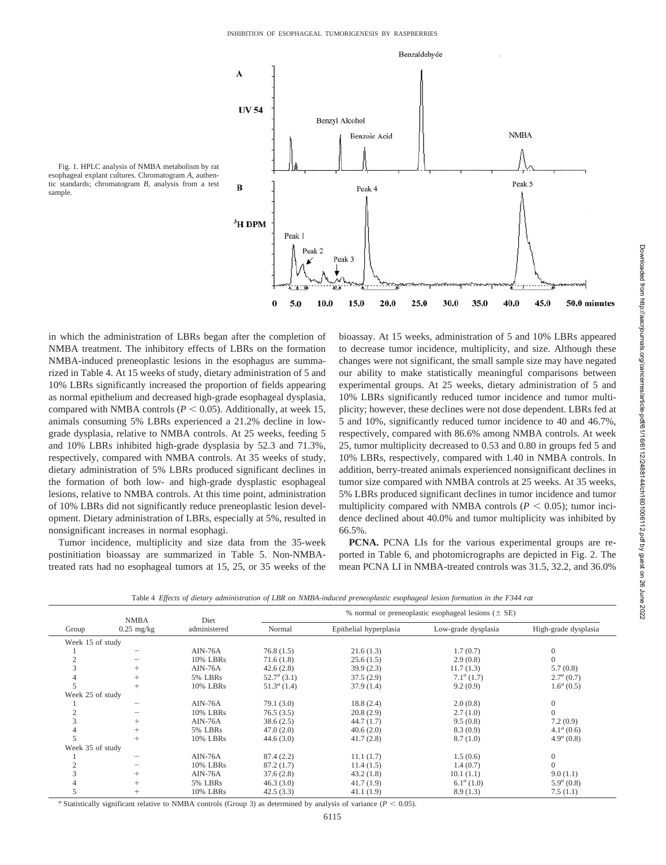

Fig. 1. HPLC analysis of NMBA metabolism by rat esophageal explant cultures. Chromatogram *A*, authentic standards; chromatogram *B*, analysis from a test sample.

in which the administration of LBRs began after the completion of NMBA treatment. The inhibitory effects of LBRs on the formation NMBA-induced preneoplastic lesions in the esophagus are summarized in Table 4. At 15 weeks of study, dietary administration of 5 and 10% LBRs significantly increased the proportion of fields appearing as normal epithelium and decreased high-grade esophageal dysplasia, compared with NMBA controls ( $P \le 0.05$ ). Additionally, at week 15, animals consuming 5% LBRs experienced a 21.2% decline in lowgrade dysplasia, relative to NMBA controls. At 25 weeks, feeding 5 and 10% LBRs inhibited high-grade dysplasia by 52.3 and 71.3%, respectively, compared with NMBA controls. At 35 weeks of study, dietary administration of 5% LBRs produced significant declines in the formation of both low- and high-grade dysplastic esophageal lesions, relative to NMBA controls. At this time point, administration of 10% LBRs did not significantly reduce preneoplastic lesion development. Dietary administration of LBRs, especially at 5%, resulted in nonsignificant increases in normal esophagi.

Tumor incidence, multiplicity and size data from the 35-week postinitiation bioassay are summarized in Table 5. Non-NMBAtreated rats had no esophageal tumors at 15, 25, or 35 weeks of the bioassay. At 15 weeks, administration of 5 and 10% LBRs appeared to decrease tumor incidence, multiplicity, and size. Although these changes were not significant, the small sample size may have negated our ability to make statistically meaningful comparisons between experimental groups. At 25 weeks, dietary administration of 5 and 10% LBRs significantly reduced tumor incidence and tumor multiplicity; however, these declines were not dose dependent. LBRs fed at 5 and 10%, significantly reduced tumor incidence to 40 and 46.7%, respectively, compared with 86.6% among NMBA controls. At week 25, tumor multiplicity decreased to 0.53 and 0.80 in groups fed 5 and 10% LBRs, respectively, compared with 1.40 in NMBA controls. In addition, berry-treated animals experienced nonsignificant declines in tumor size compared with NMBA controls at 25 weeks. At 35 weeks, 5% LBRs produced significant declines in tumor incidence and tumor multiplicity compared with NMBA controls ( $P < 0.05$ ); tumor incidence declined about 40.0% and tumor multiplicity was inhibited by 66.5%.

**PCNA.** PCNA LIs for the various experimental groups are reported in Table 6, and photomicrographs are depicted in Fig. 2. The mean PCNA LI in NMBA-treated controls was 31.5, 32.2, and 36.0%

Table 4 *Effects of dietary administration of LBR on NMBA-induced preneoplastic esophageal lesion formation in the F344 rat*

| Table 4 Effects of aletary aaministration of LBK on NMBA-induced preneoplastic esophageal lesion formation in the F344 rat |              |              |                                                          |                        |                     |                      |  |
|----------------------------------------------------------------------------------------------------------------------------|--------------|--------------|----------------------------------------------------------|------------------------|---------------------|----------------------|--|
|                                                                                                                            | <b>NMBA</b>  | Diet         | % normal or preneoplastic esophageal lesions ( $\pm$ SE) |                        |                     |                      |  |
| Group                                                                                                                      | $0.25$ mg/kg | administered | Normal                                                   | Epithelial hyperplasia | Low-grade dysplasia | High-grade dysplasia |  |
| Week 15 of study                                                                                                           |              |              |                                                          |                        |                     |                      |  |
|                                                                                                                            |              | $AIN-76A$    | 76.8(1.5)                                                | 21.6(1.3)              | 1.7(0.7)            | $\Omega$             |  |
|                                                                                                                            |              | 10% LBRs     | 71.6(1.8)                                                | 25.6(1.5)              | 2.9(0.8)            |                      |  |
|                                                                                                                            |              | $AIN-76A$    | 42.6(2.8)                                                | 39.9(2.3)              | 11.7(1.3)           | 5.7(0.8)             |  |
|                                                                                                                            |              | 5% LBRs      | $52.7^a(3.1)$                                            | 37.5(2.9)              | $7.1^{\alpha}(1.7)$ | $2.7^a(0.7)$         |  |
|                                                                                                                            |              | 10% LBRs     | $51.3^a(1.4)$                                            | 37.9(1.4)              | 9.2(0.9)            | $1.6^a(0.5)$         |  |
| Week 25 of study                                                                                                           |              |              |                                                          |                        |                     |                      |  |
|                                                                                                                            |              | $AIN-76A$    | 79.1(3.0)                                                | 18.8(2.4)              | 2.0(0.8)            | $\Omega$             |  |
|                                                                                                                            |              | 10% LBRs     | 76.5(3.5)                                                | 20.8(2.9)              | 2.7(1.0)            |                      |  |
|                                                                                                                            |              | $AIN-76A$    | 38.6(2.5)                                                | 44.7(1.7)              | 9.5(0.8)            | 7.2(0.9)             |  |
|                                                                                                                            | $^{+}$       | 5% LBRs      | 47.0(2.0)                                                | 40.6(2.0)              | 8.3(0.9)            | $4.1^a(0.6)$         |  |
|                                                                                                                            |              | 10% LBRs     | 44.6(3.0)                                                | 41.7(2.8)              | 8.7(1.0)            | $4.9^a(0.8)$         |  |
| Week 35 of study                                                                                                           |              |              |                                                          |                        |                     |                      |  |
|                                                                                                                            |              | $AIN-76A$    | 87.4(2.2)                                                | 11.1(1.7)              | 1.5(0.6)            | $\Omega$             |  |
|                                                                                                                            |              | 10% LBRs     | 87.2(1.7)                                                | 11.4(1.5)              | 1.4(0.7)            |                      |  |
|                                                                                                                            |              | $AIN-76A$    | 37.6(2.8)                                                | 43.2(1.8)              | 10.1(1.1)           | 9.0(1.1)             |  |
|                                                                                                                            |              | 5% LBRs      | 46.3(3.0)                                                | 41.7(1.9)              | $6.1^a(1.0)$        | $5.9^a(0.8)$         |  |
|                                                                                                                            | $^{+}$       | 10% LBRs     | 42.5(3.3)                                                | 41.1(1.9)              | 8.9(1.3)            | 7.5(1.1)             |  |

*a* Statistically significant relative to NMBA controls (Group 3) as determined by analysis of variance ( $P < 0.05$ ).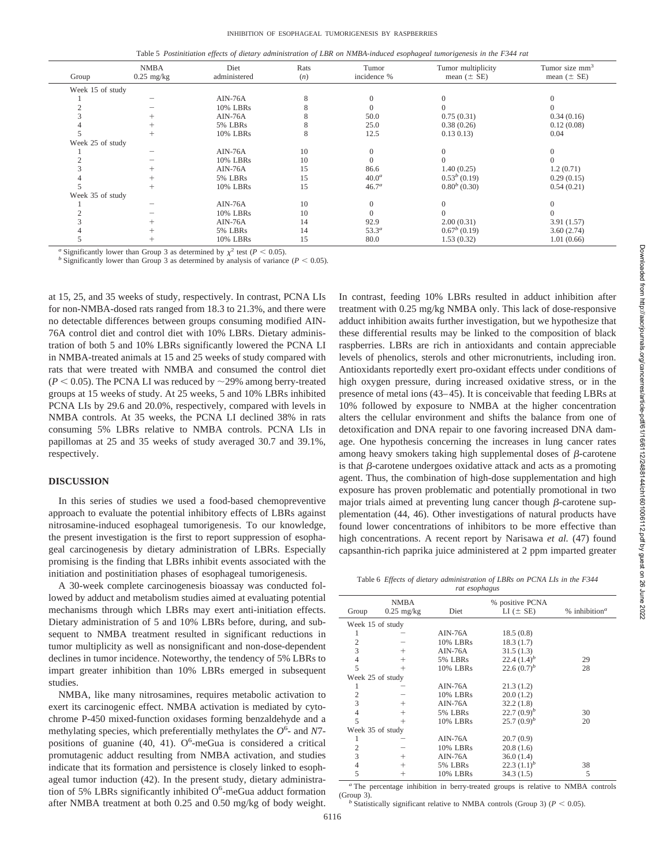Table 5 *Postinitiation effects of dietary administration of LBR on NMBA-induced esophageal tumorigenesis in the F344 rat*

| Group            | <b>NMBA</b><br>$0.25$ mg/kg | Diet<br>administered | Rats<br>(n) | Tumor<br>incidence % | Tumor multiplicity<br>mean $(\pm$ SE) | Tumor size mm <sup>3</sup><br>mean $(\pm$ SE) |  |
|------------------|-----------------------------|----------------------|-------------|----------------------|---------------------------------------|-----------------------------------------------|--|
| Week 15 of study |                             |                      |             |                      |                                       |                                               |  |
|                  |                             | $AIN-76A$            |             |                      |                                       |                                               |  |
|                  |                             | 10% LBRs             |             |                      |                                       |                                               |  |
|                  |                             | $AIN-76A$            |             | 50.0                 | 0.75(0.31)                            | 0.34(0.16)                                    |  |
|                  |                             | 5% LBRs              |             | 25.0                 | 0.38(0.26)                            | 0.12(0.08)                                    |  |
|                  |                             | 10% LBRs             |             | 12.5                 | $0.13\ 0.13)$                         | 0.04                                          |  |
| Week 25 of study |                             |                      |             |                      |                                       |                                               |  |
|                  |                             | $AIN-76A$            | 10          | $\Omega$             |                                       |                                               |  |
|                  |                             | 10% LBRs             | 10          |                      |                                       |                                               |  |
|                  |                             | $AIN-76A$            | 15          | 86.6                 | 1.40(0.25)                            | 1.2(0.71)                                     |  |
|                  |                             | 5% LBRs              | 15          | $40.0^a$             | $0.53b$ (0.19)                        | 0.29(0.15)                                    |  |
|                  |                             | 10% LBRs             | 15          | 46.7 <sup>a</sup>    | $0.80^{b}$ (0.30)                     | 0.54(0.21)                                    |  |
|                  | Week 35 of study            |                      |             |                      |                                       |                                               |  |
|                  |                             | $AIN-76A$            | 10          |                      |                                       |                                               |  |
|                  |                             | 10% LBRs             | 10          |                      |                                       |                                               |  |
|                  |                             | $AIN-76A$            | 14          | 92.9                 | 2.00(0.31)                            | 3.91(1.57)                                    |  |
|                  |                             | 5% LBRs              | 14          | 53.3 <sup>a</sup>    | $0.67^b(0.19)$                        | 3.60(2.74)                                    |  |
|                  |                             | 10% LBRs             | 15          | 80.0                 | 1.53(0.32)                            | 1.01(0.66)                                    |  |

*a* Significantly lower than Group 3 as determined by  $\chi^2$  test (*P* < 0.05). *b* Significantly lower than Group 3 as determined by analysis of variance (*P* < 0.05).

at 15, 25, and 35 weeks of study, respectively. In contrast, PCNA LIs for non-NMBA-dosed rats ranged from 18.3 to 21.3%, and there were no detectable differences between groups consuming modified AIN-76A control diet and control diet with 10% LBRs. Dietary administration of both 5 and 10% LBRs significantly lowered the PCNA LI in NMBA-treated animals at 15 and 25 weeks of study compared with rats that were treated with NMBA and consumed the control diet  $(P < 0.05)$ . The PCNA LI was reduced by  $\sim$ 29% among berry-treated groups at 15 weeks of study. At 25 weeks, 5 and 10% LBRs inhibited PCNA LIs by 29.6 and 20.0%, respectively, compared with levels in NMBA controls. At 35 weeks, the PCNA LI declined 38% in rats consuming 5% LBRs relative to NMBA controls. PCNA LIs in papillomas at 25 and 35 weeks of study averaged 30.7 and 39.1%, respectively.

## **DISCUSSION**

In this series of studies we used a food-based chemopreventive approach to evaluate the potential inhibitory effects of LBRs against nitrosamine-induced esophageal tumorigenesis. To our knowledge, the present investigation is the first to report suppression of esophageal carcinogenesis by dietary administration of LBRs. Especially promising is the finding that LBRs inhibit events associated with the initiation and postinitiation phases of esophageal tumorigenesis.

A 30-week complete carcinogenesis bioassay was conducted followed by adduct and metabolism studies aimed at evaluating potential mechanisms through which LBRs may exert anti-initiation effects. Dietary administration of 5 and 10% LBRs before, during, and subsequent to NMBA treatment resulted in significant reductions in tumor multiplicity as well as nonsignificant and non-dose-dependent declines in tumor incidence. Noteworthy, the tendency of 5% LBRs to impart greater inhibition than 10% LBRs emerged in subsequent studies.

NMBA, like many nitrosamines, requires metabolic activation to exert its carcinogenic effect. NMBA activation is mediated by cytochrome P-450 mixed-function oxidases forming benzaldehyde and a methylating species, which preferentially methylates the  $O^6$ - and *N*7positions of guanine (40, 41).  $O^6$ -meGua is considered a critical promutagenic adduct resulting from NMBA activation, and studies indicate that its formation and persistence is closely linked to esophageal tumor induction (42). In the present study, dietary administration of 5% LBRs significantly inhibited O<sup>6</sup>-meGua adduct formation after NMBA treatment at both 0.25 and 0.50 mg/kg of body weight.

In contrast, feeding 10% LBRs resulted in adduct inhibition after treatment with 0.25 mg/kg NMBA only. This lack of dose-responsive adduct inhibition awaits further investigation, but we hypothesize that these differential results may be linked to the composition of black raspberries. LBRs are rich in antioxidants and contain appreciable levels of phenolics, sterols and other micronutrients, including iron. Antioxidants reportedly exert pro-oxidant effects under conditions of high oxygen pressure, during increased oxidative stress, or in the presence of metal ions (43–45). It is conceivable that feeding LBRs at 10% followed by exposure to NMBA at the higher concentration alters the cellular environment and shifts the balance from one of detoxification and DNA repair to one favoring increased DNA damage. One hypothesis concerning the increases in lung cancer rates among heavy smokers taking high supplemental doses of  $\beta$ -carotene is that  $\beta$ -carotene undergoes oxidative attack and acts as a promoting agent. Thus, the combination of high-dose supplementation and high exposure has proven problematic and potentially promotional in two major trials aimed at preventing lung cancer though  $\beta$ -carotene supplementation (44, 46). Other investigations of natural products have found lower concentrations of inhibitors to be more effective than high concentrations. A recent report by Narisawa *et al.* (47) found capsanthin-rich paprika juice administered at 2 ppm imparted greater

Table 6 *Effects of dietary administration of LBRs on PCNA LIs in the F344 rat esophagus*

| Group            | <b>NMBA</b><br>$0.25$ mg/kg | Diet      | % positive PCNA<br>$LI$ ( $\pm$ SE) | % inhibition <sup><math>a</math></sup> |  |
|------------------|-----------------------------|-----------|-------------------------------------|----------------------------------------|--|
| Week 15 of study |                             |           |                                     |                                        |  |
|                  |                             | $AIN-76A$ | 18.5(0.8)                           |                                        |  |
| 2                |                             | 10% LBRs  | 18.3(1.7)                           |                                        |  |
| 3                | $^+$                        | $AIN-76A$ | 31.5(1.3)                           |                                        |  |
| $\overline{4}$   | $^+$                        | 5% LBRs   | $22.4(1.4)^b$                       | 29                                     |  |
| 5                | $\pm$                       | 10% LBRs  | 22.6 $(0.7)^b$                      | 28                                     |  |
| Week 25 of study |                             |           |                                     |                                        |  |
|                  |                             | $AIN-76A$ | 21.3(1.2)                           |                                        |  |
| $\overline{c}$   |                             | 10% LBRs  | 20.0(1.2)                           |                                        |  |
| 3                | $^{+}$                      | $AIN-76A$ | 32.2(1.8)                           |                                        |  |
| 4                | $\pm$                       | 5% LBRs   | 22.7 $(0.9)^b$                      | 30                                     |  |
| 5                |                             | 10% LBRs  | 25.7 $(0.9)^b$                      | 20                                     |  |
| Week 35 of study |                             |           |                                     |                                        |  |
|                  |                             | $AIN-76A$ | 20.7(0.9)                           |                                        |  |
| 2                |                             | 10% LBRs  | 20.8(1.6)                           |                                        |  |
| 3                | $^+$                        | $AIN-76A$ | 36.0(1.4)                           |                                        |  |
| 4                | $^+$                        | 5% LBRs   | $22.3 (1.1)^b$                      | 38                                     |  |
| 5                | $\pm$                       | 10% LBRs  | 34.3(1.5)                           | 5                                      |  |

<sup>a</sup> The percentage inhibition in berry-treated groups is relative to NMBA controls (Group 3).

<sup>*b*</sup> Statistically significant relative to NMBA controls (Group 3) ( $P < 0.05$ ).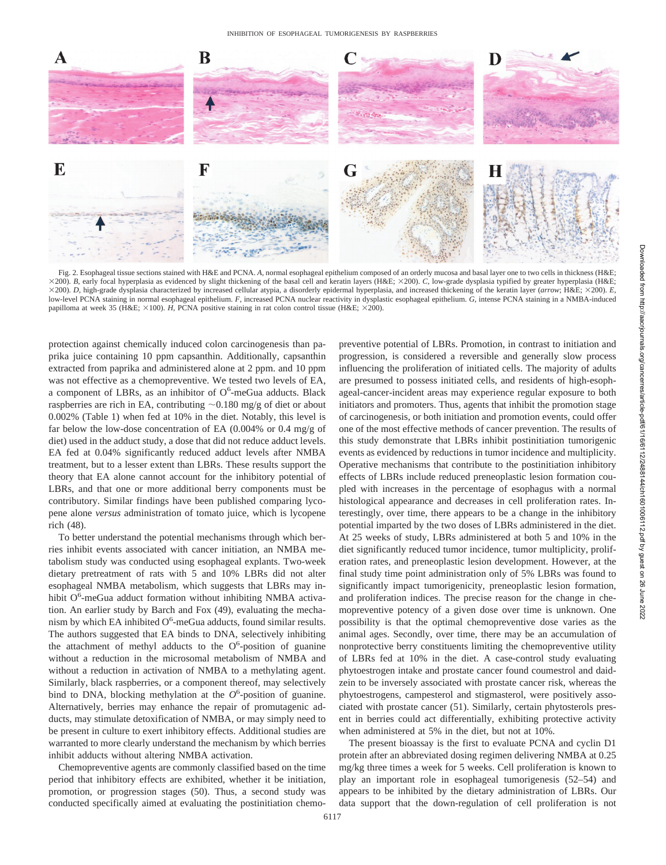

Fig. 2. Esophageal tissue sections stained with H&E and PCNA. *A,* normal esophageal epithelium composed of an orderly mucosa and basal layer one to two cells in thickness (H&E; 200). *B*, early focal hyperplasia as evidenced by slight thickening of the basal cell and keratin layers (H&E; 200). *C*, low-grade dysplasia typified by greater hyperplasia (H&E;  $\times$ 200). *D*, high-grade dysplasia characterized by increased cellular atypia, a disorderly epidermal hyperplasia, and increased thickening of the keratin layer (*arrow*; H&E;  $\times$ 200). *E*, low-level PCNA staining in normal esophageal epithelium. *F*, increased PCNA nuclear reactivity in dysplastic esophageal epithelium. *G*, intense PCNA staining in a NMBA-induced papilloma at week 35 (H&E;  $\times$ 100). *H*, PCNA positive staining in rat colon control tissue (H&E;  $\times$ 200).

protection against chemically induced colon carcinogenesis than paprika juice containing 10 ppm capsanthin. Additionally, capsanthin extracted from paprika and administered alone at 2 ppm. and 10 ppm was not effective as a chemopreventive. We tested two levels of EA, a component of LBRs, as an inhibitor of  $O^6$ -meGua adducts. Black raspberries are rich in EA, contributing  $\sim 0.180$  mg/g of diet or about 0.002% (Table 1) when fed at 10% in the diet. Notably, this level is far below the low-dose concentration of EA (0.004% or 0.4 mg/g of diet) used in the adduct study, a dose that did not reduce adduct levels. EA fed at 0.04% significantly reduced adduct levels after NMBA treatment, but to a lesser extent than LBRs. These results support the theory that EA alone cannot account for the inhibitory potential of LBRs, and that one or more additional berry components must be contributory. Similar findings have been published comparing lycopene alone *versus* administration of tomato juice, which is lycopene rich (48).

To better understand the potential mechanisms through which berries inhibit events associated with cancer initiation, an NMBA metabolism study was conducted using esophageal explants. Two-week dietary pretreatment of rats with 5 and 10% LBRs did not alter esophageal NMBA metabolism, which suggests that LBRs may inhibit O<sup>6</sup>-meGua adduct formation without inhibiting NMBA activation. An earlier study by Barch and Fox (49), evaluating the mechanism by which EA inhibited  $O^6$ -meGua adducts, found similar results. The authors suggested that EA binds to DNA, selectively inhibiting the attachment of methyl adducts to the  $O<sup>6</sup>$ -position of guanine without a reduction in the microsomal metabolism of NMBA and without a reduction in activation of NMBA to a methylating agent. Similarly, black raspberries, or a component thereof, may selectively bind to DNA, blocking methylation at the  $O<sup>6</sup>$ -position of guanine. Alternatively, berries may enhance the repair of promutagenic adducts, may stimulate detoxification of NMBA, or may simply need to be present in culture to exert inhibitory effects. Additional studies are warranted to more clearly understand the mechanism by which berries inhibit adducts without altering NMBA activation.

Chemopreventive agents are commonly classified based on the time period that inhibitory effects are exhibited, whether it be initiation, promotion, or progression stages (50). Thus, a second study was conducted specifically aimed at evaluating the postinitiation chemopreventive potential of LBRs. Promotion, in contrast to initiation and progression, is considered a reversible and generally slow process influencing the proliferation of initiated cells. The majority of adults are presumed to possess initiated cells, and residents of high-esophageal-cancer-incident areas may experience regular exposure to both initiators and promoters. Thus, agents that inhibit the promotion stage of carcinogenesis, or both initiation and promotion events, could offer one of the most effective methods of cancer prevention. The results of this study demonstrate that LBRs inhibit postinitiation tumorigenic events as evidenced by reductions in tumor incidence and multiplicity. Operative mechanisms that contribute to the postinitiation inhibitory effects of LBRs include reduced preneoplastic lesion formation coupled with increases in the percentage of esophagus with a normal histological appearance and decreases in cell proliferation rates. Interestingly, over time, there appears to be a change in the inhibitory potential imparted by the two doses of LBRs administered in the diet. At 25 weeks of study, LBRs administered at both 5 and 10% in the diet significantly reduced tumor incidence, tumor multiplicity, proliferation rates, and preneoplastic lesion development. However, at the final study time point administration only of 5% LBRs was found to significantly impact tumorigenicity, preneoplastic lesion formation, and proliferation indices. The precise reason for the change in chemopreventive potency of a given dose over time is unknown. One possibility is that the optimal chemopreventive dose varies as the animal ages. Secondly, over time, there may be an accumulation of nonprotective berry constituents limiting the chemopreventive utility of LBRs fed at 10% in the diet. A case-control study evaluating phytoestrogen intake and prostate cancer found coumestrol and daidzein to be inversely associated with prostate cancer risk, whereas the phytoestrogens, campesterol and stigmasterol, were positively associated with prostate cancer (51). Similarly, certain phytosterols present in berries could act differentially, exhibiting protective activity when administered at 5% in the diet, but not at 10%.

The present bioassay is the first to evaluate PCNA and cyclin D1 protein after an abbreviated dosing regimen delivering NMBA at 0.25 mg/kg three times a week for 5 weeks. Cell proliferation is known to play an important role in esophageal tumorigenesis (52–54) and appears to be inhibited by the dietary administration of LBRs. Our data support that the down-regulation of cell proliferation is not

Downloaded from http://aacrjournals.org/cancerres/article-pdf/61/16/6112/2488144/ch1601006112.pdf by guest on 26 June 2022

Downloaded from http://aacrjournals.org/cancerres/article-pdf/61/19/6112/2488144/ch1601006112.pdf by guest on 26 June 2022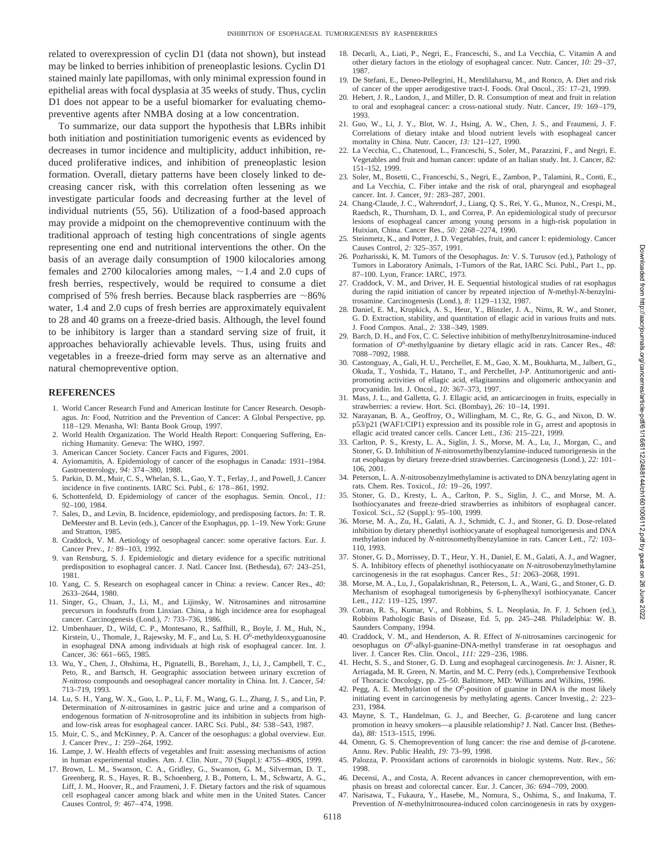related to overexpression of cyclin D1 (data not shown), but instead may be linked to berries inhibition of preneoplastic lesions. Cyclin D1 stained mainly late papillomas, with only minimal expression found in epithelial areas with focal dysplasia at 35 weeks of study. Thus, cyclin D1 does not appear to be a useful biomarker for evaluating chemopreventive agents after NMBA dosing at a low concentration.

To summarize, our data support the hypothesis that LBRs inhibit both initiation and postinitiation tumorigenic events as evidenced by decreases in tumor incidence and multiplicity, adduct inhibition, reduced proliferative indices, and inhibition of preneoplastic lesion formation. Overall, dietary patterns have been closely linked to decreasing cancer risk, with this correlation often lessening as we investigate particular foods and decreasing further at the level of individual nutrients (55, 56). Utilization of a food-based approach may provide a midpoint on the chemopreventive continuum with the traditional approach of testing high concentrations of single agents representing one end and nutritional interventions the other. On the basis of an average daily consumption of 1900 kilocalories among females and 2700 kilocalories among males,  $\sim$  1.4 and 2.0 cups of fresh berries, respectively, would be required to consume a diet comprised of 5% fresh berries. Because black raspberries are  $\sim$ 86% water, 1.4 and 2.0 cups of fresh berries are approximately equivalent to 28 and 40 grams on a freeze-dried basis. Although, the level found to be inhibitory is larger than a standard serving size of fruit, it approaches behaviorally achievable levels. Thus, using fruits and vegetables in a freeze-dried form may serve as an alternative and natural chemopreventive option.

#### **REFERENCES**

- 1. World Cancer Research Fund and American Institute for Cancer Research. Oesophagus. *In:* Food, Nutrition and the Prevention of Cancer: A Global Perspective, pp. 118–129. Menasha, WI: Banta Book Group, 1997.
- 2. World Health Organization. The World Health Report: Conquering Suffering, Enriching Humanity. Geneva: The WHO, 1997.
- 3. American Cancer Society. Cancer Facts and Figures, 2001.
- 4. Ayiomamitis, A. Epidemiology of cancer of the esophagus in Canada: 1931–1984. Gastroenterology, *94:* 374–380, 1988.
- 5. Parkin, D. M., Muir, C. S., Whelan, S. L., Gao, Y. T., Ferlay, J., and Powell, J. Cancer incidence in five continents. IARC Sci. Publ., *6:* 178–861, 1992.
- 6. Schottenfeld, D. Epidemiology of cancer of the esophagus. Semin. Oncol*.*, *11:* 92–100, 1984.
- 7. Sales, D., and Levin, B. Incidence, epidemiology, and predisposing factors. *In:* T. R. DeMeester and B. Levin (eds.), Cancer of the Esophagus, pp. 1–19. New York: Grune and Stratton, 1985.
- 8. Craddock, V. M. Aetiology of oesophageal cancer: some operative factors. Eur. J. Cancer Prev., *1:* 89–103, 1992.
- 9. van Rensburg, S. J. Epidemiologic and dietary evidence for a specific nutritional predisposition to esophageal cancer. J. Natl. Cancer Inst. (Bethesda), *67:* 243–251, 1981.
- 10. Yang, C. S. Research on esophageal cancer in China: a review. Cancer Res., *40:* 2633–2644, 1980.
- 11. Singer, G., Chuan, J., Li, M., and Lijinsky, W. Nitrosamines and nitrosamine precursors in foodstuffs from Linxian. China, a high incidence area for esophageal cancer. Carcinogenesis (Lond.), *7:* 733–736, 1986.
- 12. Umbenhauer, D., Wild, C. P., Montesano, R., Saffhill, R., Boyle, J. M., Huh, N., Kirstein, U., Thomale, J., Rajewsky, M. F., and Lu, S. H. O<sup>6</sup>-methyldeoxyguanosine in esophageal DNA among individuals at high risk of esophageal cancer. Int. J. Cancer, *36:* 661–665, 1985.
- 13. Wu, Y., Chen, J., Ohshima, H., Pignatelli, B., Boreham, J., Li, J., Campbell, T. C., Peto, R., and Bartsch, H. Geographic association between urinary excretion of *N*-nitroso compounds and oesophageal cancer mortality in China. Int. J. Cancer, *54:* 713–719, 1993.
- 14. Lu, S. H., Yang, W. X., Guo, L. P., Li, F. M., Wang, G. L., Zhang, J. S., and Lin, P. Determination of *N*-nitrosamines in gastric juice and urine and a comparison of endogenous formation of *N*-nitrosoproline and its inhibition in subjects from highand low-risk areas for esophageal cancer. IARC Sci. Publ., *84:* 538–543, 1987.
- 15. Muir, C. S., and McKinney, P. A. Cancer of the oesophagus: a global overview. Eur. J. Cancer Prev., *1:* 259–264, 1992.
- 16. Lampe, J. W. Health effects of vegetables and fruit: assessing mechanisms of action in human experimental studies. Am. J. Clin. Nutr., *70* (Suppl.)*:* 475S–490S, 1999.
- 17. Brown, L. M., Swanson, C. A., Gridley, G., Swanson, G. M., Silverman, D. T., Greenberg, R. S., Hayes, R. B., Schoenberg, J. B., Pottern, L. M., Schwartz, A. G., Liff, J. M., Hoover, R., and Fraumeni, J. F. Dietary factors and the risk of squamous cell esophageal cancer among black and white men in the United States. Cancer Causes Control, *9:* 467–474, 1998.
- 18. Decarli, A., Liati, P., Negri, E., Franceschi, S., and La Vecchia, C. Vitamin A and other dietary factors in the etiology of esophageal cancer. Nutr. Cancer, *10:* 29–37, 1987.
- 19. De Stefani, E., Deneo-Pellegrini, H., Mendilaharsu, M., and Ronco, A. Diet and risk of cancer of the upper aerodigestive tract-I. Foods. Oral Oncol., *35:* 17–21, 1999.
- 20. Hebert, J. R., Landon, J., and Miller, D. R. Consumption of meat and fruit in relation to oral and esophageal cancer: a cross-national study. Nutr. Cancer, *19:* 169–179, 1993.
- 21. Guo, W., Li, J. Y., Blot, W. J., Hsing, A. W., Chen, J. S., and Fraumeni, J. F. Correlations of dietary intake and blood nutrient levels with esophageal cancer mortality in China. Nutr. Cancer, *13:* 121–127, 1990.
- 22. La Vecchia, C., Chatenoud, L., Franceschi, S., Soler, M., Parazzini, F., and Negri, E. Vegetables and fruit and human cancer: update of an Italian study. Int. J. Cancer, *82:* 151–152, 1999.
- 23. Soler, M., Bosetti, C., Franceschi, S., Negri, E., Zambon, P., Talamini, R., Conti, E., and La Vecchia, C. Fiber intake and the risk of oral, pharyngeal and esophageal cancer. Int. J. Cancer, *91:* 283–287, 2001.
- 24. Chang-Claude, J. C., Wahrendorf, J., Liang, Q. S., Rei, Y. G., Munoz, N., Crespi, M., Raedsch, R., Thurnham, D. I., and Correa, P. An epidemiological study of precursor lesions of esophageal cancer among young persons in a high-risk population in Huixian, China. Cancer Res., *50:* 2268–2274, 1990.
- 25. Steinmetz, K., and Potter, J. D. Vegetables, fruit, and cancer I: epidemiology. Cancer Causes Control, *2:* 325–357, 1991.
- 26. Pozharisski, K. M. Tumors of the Oesophagus. *In:* V. S. Turusov (ed.), Pathology of Tumors in Laboratory Animals, 1-Tumors of the Rat, IARC Sci. Publ., Part 1., pp. 87–100. Lyon, France: IARC, 1973.
- 27. Craddock, V. M., and Driver, H. E. Sequential histological studies of rat esophagus during the rapid initiation of cancer by repeated injection of *N*-methyl-*N*-benzylnitrosamine. Carcinogenesis (Lond.), *8:* 1129–1132, 1987.
- 28. Daniel, E. M., Krupkick, A. S., Heur, Y., Blinzler, J. A., Nims, R. W., and Stoner, G. D. Extraction, stability, and quantitation of ellagic acid in various fruits and nuts. J. Food Compos. Anal., *2:* 338–349, 1989.
- 29. Barch, D. H., and Fox, C. C. Selective inhibition of methylbenzylnitrosamine-induced formation of *O*<sup>6</sup> -methylguanine by dietary ellagic acid in rats. Cancer Res., *48:* 7088–7092, 1988.
- 30. Castonguay, A., Gali, H. U., Perchellet, E. M., Gao, X. M., Boukharta, M., Jalbert, G., Okuda, T., Yoshida, T., Hatano, T., and Perchellet, J-P. Antitumorigenic and antipromoting activities of ellagic acid, ellagitannins and oligomeric anthocyanin and procyanidin. Int. J. Oncol., *10:* 367–373, 1997.
- 31. Mass, J. L., and Galletta, G. J. Ellagic acid, an anticarcinogen in fruits, especially in strawberries: a review. Hort. Sci. (Bombay), *26:* 10–14, 1991.
- 32. Narayanan, B. A., Geoffroy, O., Willingham, M. C., Re, G. G., and Nixon, D. W.  $p53/p21$  (WAF1/CIP1) expression and its possible role in  $G_1$  arrest and apoptosis in ellagic acid treated cancer cells. Cancer Lett., *136:* 215–221, 1999.
- 33. Carlton, P. S., Kresty, L. A., Siglin, J. S., Morse, M. A., Lu, J., Morgan, C., and Stoner, G. D. Inhibition of *N*-nitrosomethylbenzylamine-induced tumorigenesis in the rat esophagus by dietary freeze-dried strawberries. Carcinogenesis (Lond.), *22:* 101– 106, 2001.
- 34. Peterson, L. A. *N*-nitrosobenzylmethylamine is activated to DNA benzylating agent in rats. Chem. Res. Toxicol., *10:* 19–26, 1997.
- 35. Stoner, G. D., Kresty, L. A., Carlton, P. S., Siglin, J. C., and Morse, M. A. Isothiocyanates and freeze-dried strawberries as inhibitors of esophageal cancer. Toxicol. Sci., *52* (Suppl.)*:* 95–100, 1999.
- 36. Morse, M. A., Zu, H., Galati, A. J., Schmidt, C. J., and Stoner, G. D. Dose-related inhibition by dietary phenethyl isothiocyanate of esophageal tumorigenesis and DNA methylation induced by *N*-nitrosomethylbenzylamine in rats. Cancer Lett., *72:* 103– 110, 1993.
- 37. Stoner, G. D., Morrissey, D. T., Heur, Y. H., Daniel, E. M., Galati, A. J., and Wagner, S. A. Inhibitory effects of phenethyl isothiocyanate on *N*-nitrosobenzylmethylamine carcinogenesis in the rat esophagus. Cancer Res., *51:* 2063–2068, 1991.
- 38. Morse, M. A., Lu, J., Gopalakrishnan, R., Peterson, L. A., Wani, G., and Stoner, G. D. Mechanism of esophageal tumorigenesis by 6-phenylhexyl isothiocyanate. Cancer Lett., *112:* 119–125, 1997.
- 39. Cotran, R. S., Kumar, V., and Robbins, S. L. Neoplasia, *In*. F. J. Schoen (ed.), Robbins Pathologic Basis of Disease, Ed. 5, pp. 245–248. Philadelphia: W. B. Saunders Company, 1994.
- 40. Craddock, V. M., and Henderson, A. R. Effect of *N*-nitrosamines carcinogenic for oesophagus on *O*<sup>6</sup> -alkyl-guanine-DNA-methyl transferase in rat oesophagus and liver. J. Cancer Res. Clin. Oncol., *111:* 229–236, 1986.
- 41. Hecht, S. S., and Stoner, G. D. Lung and esophageal carcinogenesis. *In:* J. Aisner, R. Arriagada, M. R. Green, N. Martin, and M. C. Perry (eds.), Comprehensive Textbook of Thoracic Oncology, pp. 25–50. Baltimore, MD: Williams and Wilkins, 1996.
- 42. Pegg, A. E. Methylation of the *O*<sup>6</sup> -position of guanine in DNA is the most likely initiating event in carcinogenesis by methylating agents. Cancer Investig., *2:* 223– 231, 1984.
- 43. Mayne, S. T., Handelman, G. J., and Beecher, G. B-carotene and lung cancer promotion in heavy smokers—a plausible relationship? J. Natl. Cancer Inst. (Bethesda), *88:* 1513–1515, 1996.
- 44. Omenn, G. S. Chemoprevention of lung cancer: the rise and demise of  $\beta$ -carotene. Annu. Rev. Public Health, *19:* 73–99, 1998.
- 45. Palozza, P. Prooxidant actions of carotenoids in biologic systems. Nutr. Rev., *56:* 1998.
- Decensi, A., and Costa, A. Recent advances in cancer chemoprevention, with emphasis on breast and colorectal cancer. Eur. J. Cancer, *36:* 694–709, 2000.
- 47. Narisawa, T., Fukaura, Y., Hasebe, M., Nomura, S., Oshima, S., and Inakuma, T. Prevention of *N*-methylnitrosourea-induced colon carcinogenesis in rats by oxygen-